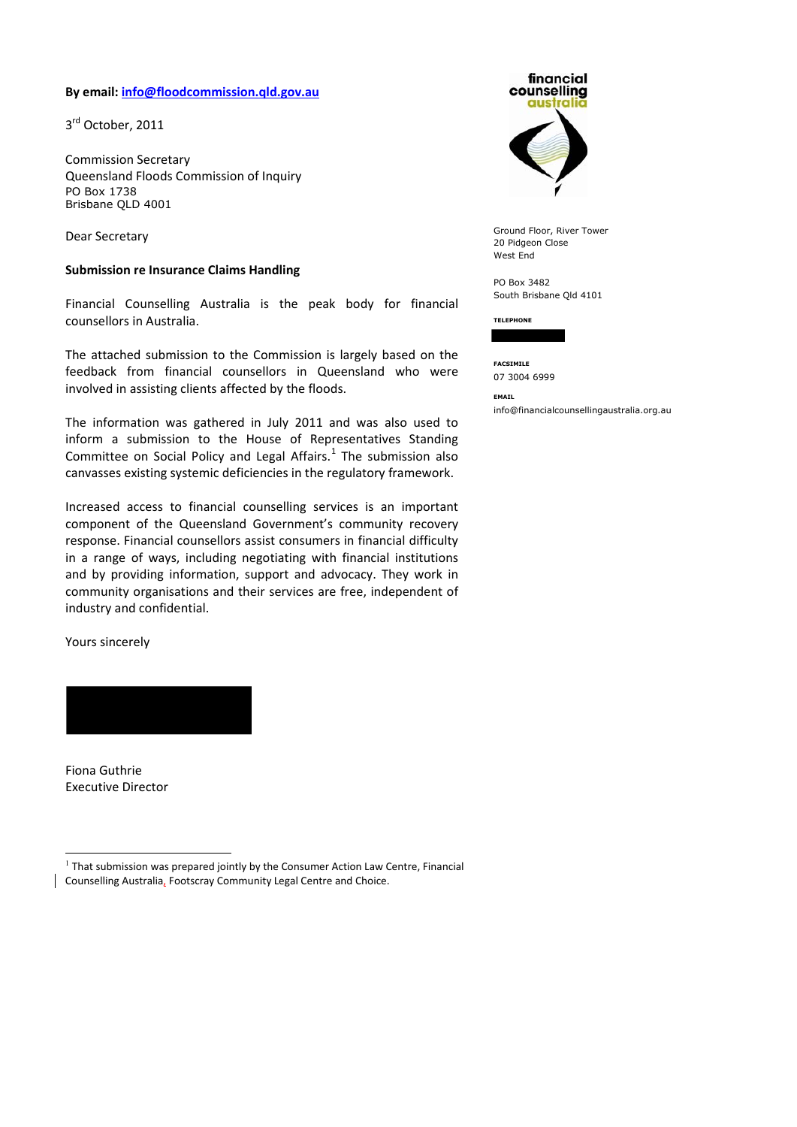#### **By email: [info@floodcommission.qld.gov.au](mailto:info@floodcommission.qld.gov.au)**

3<sup>rd</sup> October, 2011

Commission Secretary Queensland Floods Commission of Inquiry PO Box 1738 Brisbane QLD 4001

Dear Secretary

#### **Submission re Insurance Claims Handling**

Financial Counselling Australia is the peak body for financial counsellors in Australia.

The attached submission to the Commission is largely based on the feedback from financial counsellors in Queensland who were involved in assisting clients affected by the floods.

The information was gathered in July 2011 and was also used to inform a submission to the House of Representatives Standing Committee on Social Policy and Legal Affairs. $<sup>1</sup>$  $<sup>1</sup>$  $<sup>1</sup>$  The submission also</sup> canvasses existing systemic deficiencies in the regulatory framework.

Increased access to financial counselling services is an important component of the Queensland Government's community recovery response. Financial counsellors assist consumers in financial difficulty in a range of ways, including negotiating with financial institutions and by providing information, support and advocacy. They work in community organisations and their services are free, independent of industry and confidential.

Yours sincerely

Fiona Guthrie Executive Director

-



Ground Floor, River Tower 20 Pidgeon Close West End

PO Box 3482 South Brisbane Qld 4101

**TELEPHONE** 

**FACSIMILE**  07 3004 6999

**EMAIL** 

info@financialcounsellingaustralia.org.au

<span id="page-0-0"></span><sup>1</sup> That submission was prepared jointly by the Consumer Action Law Centre, Financial Counselling Australia, Footscray Community Legal Centre and Choice.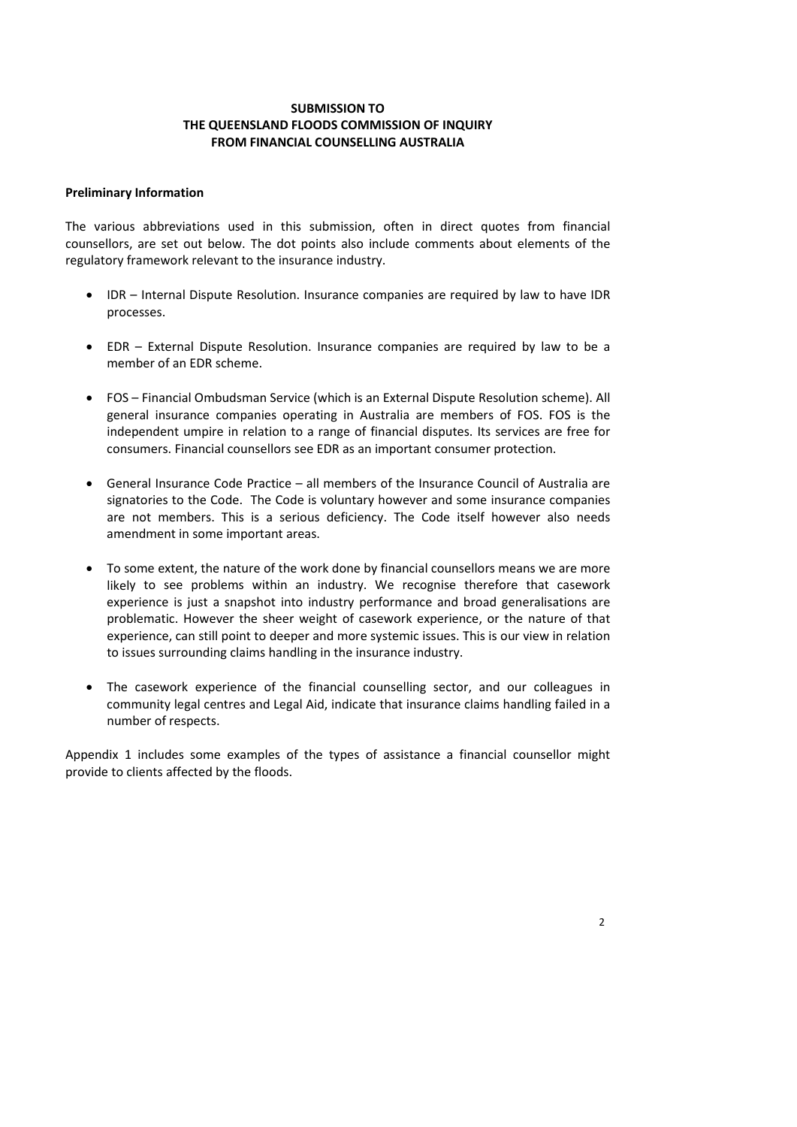# **SUBMISSION TO THE QUEENSLAND FLOODS COMMISSION OF INQUIRY FROM FINANCIAL COUNSELLING AUSTRALIA**

### **Preliminary Information**

The various abbreviations used in this submission, often in direct quotes from financial counsellors, are set out below. The dot points also include comments about elements of the regulatory framework relevant to the insurance industry.

- IDR Internal Dispute Resolution. Insurance companies are required by law to have IDR processes.
- EDR External Dispute Resolution. Insurance companies are required by law to be a member of an EDR scheme.
- FOS Financial Ombudsman Service (which is an External Dispute Resolution scheme). All general insurance companies operating in Australia are members of FOS. FOS is the independent umpire in relation to a range of financial disputes. Its services are free for consumers. Financial counsellors see EDR as an important consumer protection.
- General Insurance Code Practice all members of the Insurance Council of Australia are signatories to the Code. The Code is voluntary however and some insurance companies are not members. This is a serious deficiency. The Code itself however also needs amendment in some important areas.
- To some extent, the nature of the work done by financial counsellors means we are more likely to see problems within an industry. We recognise therefore that casework experience is just a snapshot into industry performance and broad generalisations are problematic. However the sheer weight of casework experience, or the nature of that experience, can still point to deeper and more systemic issues. This is our view in relation to issues surrounding claims handling in the insurance industry.
- The casework experience of the financial counselling sector, and our colleagues in community legal centres and Legal Aid, indicate that insurance claims handling failed in a number of respects.

Appendix 1 includes some examples of the types of assistance a financial counsellor might provide to clients affected by the floods.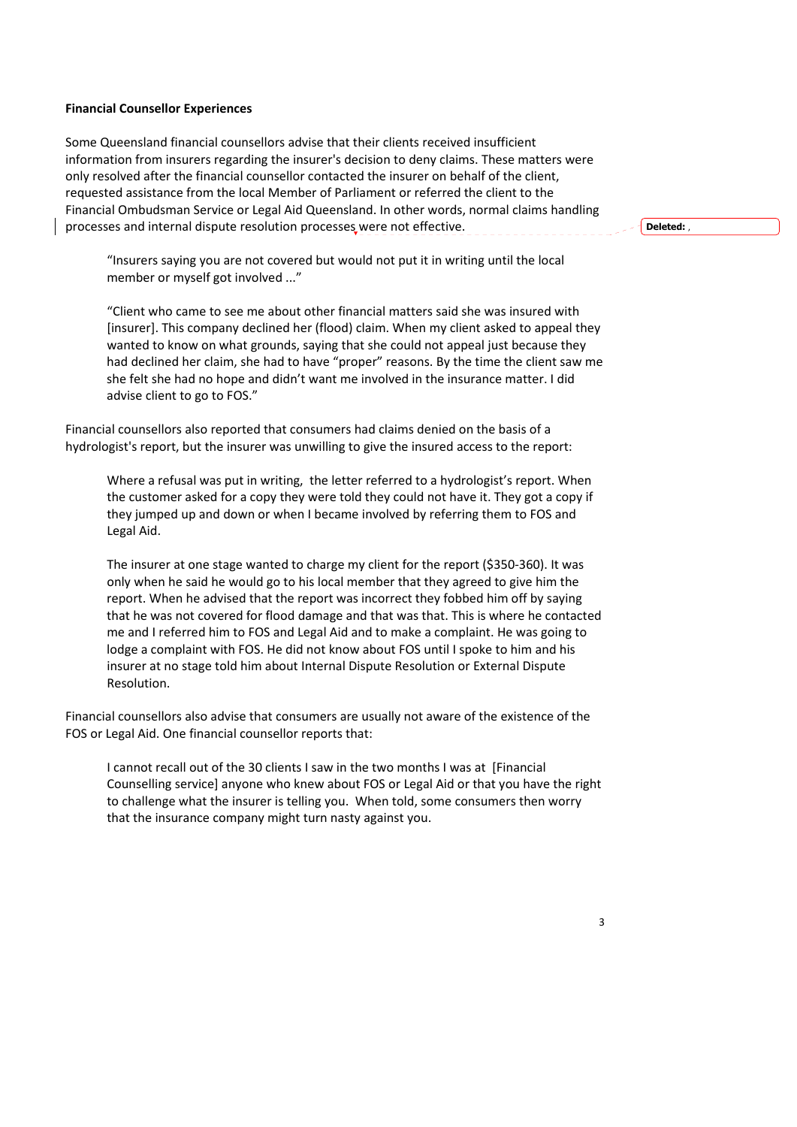### **Financial Counsellor Experiences**

Some Queensland financial counsellors advise that their clients received insufficient information from insurers regarding the insurer's decision to deny claims. These matters were only resolved after the financial counsellor contacted the insurer on behalf of the client, requested assistance from the local Member of Parliament or referred the client to the Financial Ombudsman Service or Legal Aid Queensland. In other words, normal claims handling processes and internal dispute resolution processes were not effective.

**Deleted:** ,

"Insurers saying you are not covered but would not put it in writing until the local member or myself got involved ..."

"Client who came to see me about other financial matters said she was insured with [insurer]. This company declined her (flood) claim. When my client asked to appeal they wanted to know on what grounds, saying that she could not appeal just because they had declined her claim, she had to have "proper" reasons. By the time the client saw me she felt she had no hope and didn't want me involved in the insurance matter. I did advise client to go to FOS."

Financial counsellors also reported that consumers had claims denied on the basis of a hydrologist's report, but the insurer was unwilling to give the insured access to the report:

Where a refusal was put in writing, the letter referred to a hydrologist's report. When the customer asked for a copy they were told they could not have it. They got a copy if they jumped up and down or when I became involved by referring them to FOS and Legal Aid.

The insurer at one stage wanted to charge my client for the report (\$350‐360). It was only when he said he would go to his local member that they agreed to give him the report. When he advised that the report was incorrect they fobbed him off by saying that he was not covered for flood damage and that was that. This is where he contacted me and I referred him to FOS and Legal Aid and to make a complaint. He was going to lodge a complaint with FOS. He did not know about FOS until I spoke to him and his insurer at no stage told him about Internal Dispute Resolution or External Dispute Resolution.

Financial counsellors also advise that consumers are usually not aware of the existence of the FOS or Legal Aid. One financial counsellor reports that:

I cannot recall out of the 30 clients I saw in the two months I was at [Financial Counselling service] anyone who knew about FOS or Legal Aid or that you have the right to challenge what the insurer is telling you. When told, some consumers then worry that the insurance company might turn nasty against you.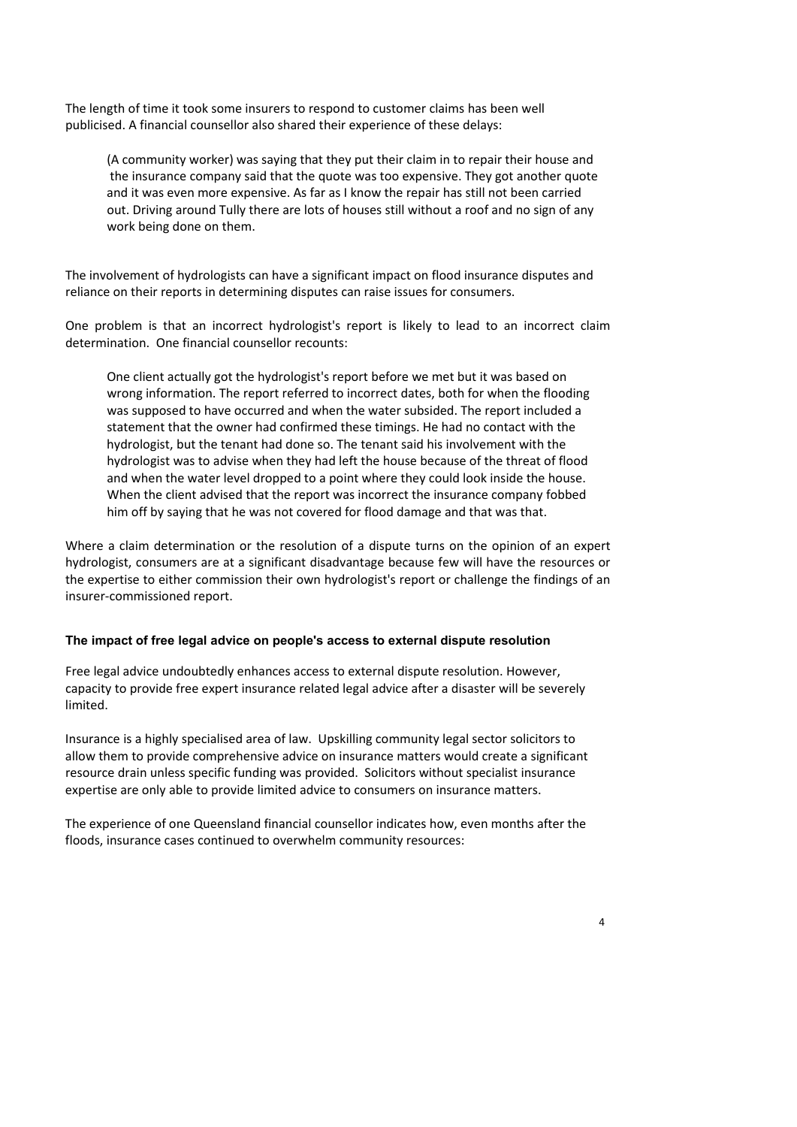The length of time it took some insurers to respond to customer claims has been well publicised. A financial counsellor also shared their experience of these delays:

(A community worker) was saying that they put their claim in to repair their house and the insurance company said that the quote was too expensive. They got another quote and it was even more expensive. As far as I know the repair has still not been carried out. Driving around Tully there are lots of houses still without a roof and no sign of any work being done on them.

The involvement of hydrologists can have a significant impact on flood insurance disputes and reliance on their reports in determining disputes can raise issues for consumers.

One problem is that an incorrect hydrologist's report is likely to lead to an incorrect claim determination. One financial counsellor recounts:

One client actually got the hydrologist's report before we met but it was based on wrong information. The report referred to incorrect dates, both for when the flooding was supposed to have occurred and when the water subsided. The report included a statement that the owner had confirmed these timings. He had no contact with the hydrologist, but the tenant had done so. The tenant said his involvement with the hydrologist was to advise when they had left the house because of the threat of flood and when the water level dropped to a point where they could look inside the house. When the client advised that the report was incorrect the insurance company fobbed him off by saying that he was not covered for flood damage and that was that.

Where a claim determination or the resolution of a dispute turns on the opinion of an expert hydrologist, consumers are at a significant disadvantage because few will have the resources or the expertise to either commission their own hydrologist's report or challenge the findings of an insurer‐commissioned report.

### **The impact of free legal advice on people's access to external dispute resolution**

Free legal advice undoubtedly enhances access to external dispute resolution. However, capacity to provide free expert insurance related legal advice after a disaster will be severely limited.

Insurance is a highly specialised area of law. Upskilling community legal sector solicitors to allow them to provide comprehensive advice on insurance matters would create a significant resource drain unless specific funding was provided. Solicitors without specialist insurance expertise are only able to provide limited advice to consumers on insurance matters.

The experience of one Queensland financial counsellor indicates how, even months after the floods, insurance cases continued to overwhelm community resources: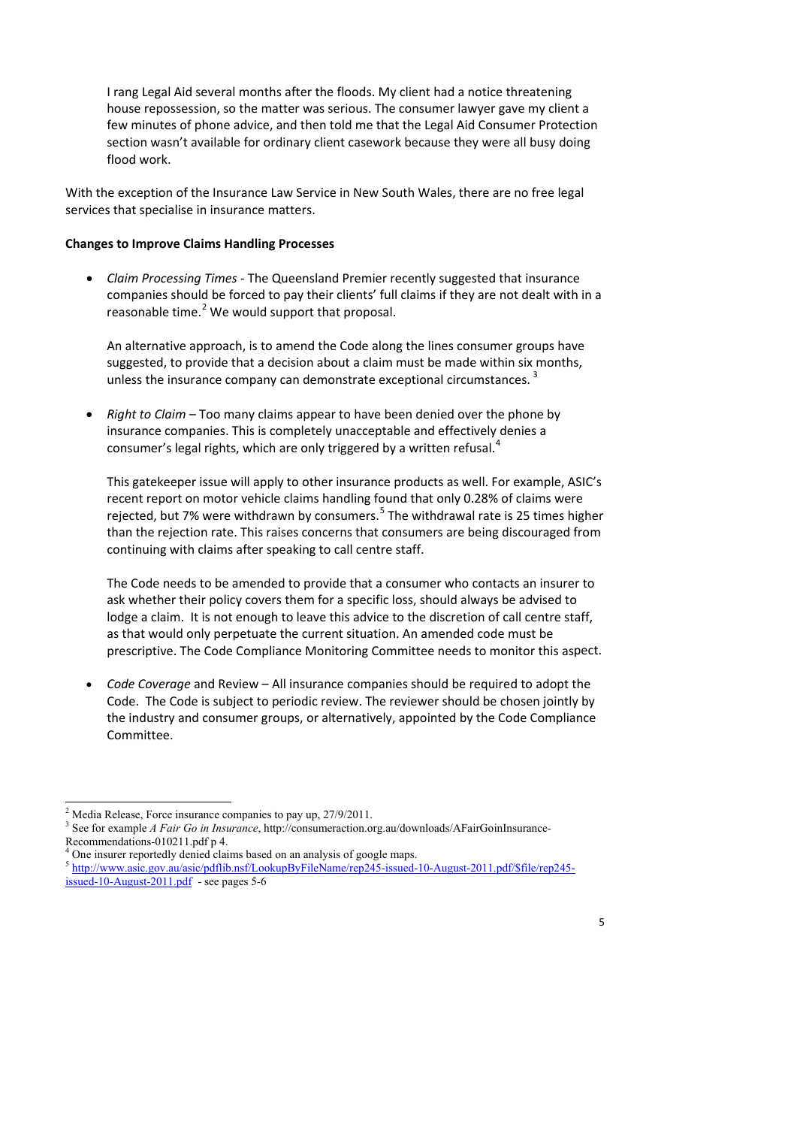I rang Legal Aid several months after the floods. My client had a notice threatening house repossession, so the matter was serious. The consumer lawyer gave my client a few minutes of phone advice, and then told me that the Legal Aid Consumer Protection section wasn't available for ordinary client casework because they were all busy doing flood work.

With the exception of the Insurance Law Service in New South Wales, there are no free legal services that specialise in insurance matters.

#### **Changes to Improve Claims Handling Processes**

 *Claim Processing Times* ‐ The Queensland Premier recently suggested that insurance companies should be forced to pay their clients' full claims if they are not dealt with in a reasonable time. $2$  We would support that proposal.

An alternative approach, is to amend the Code along the lines consumer groups have suggested, to provide that a decision about a claim must be made within six months, unless the insurance company can demonstrate exceptional circumstances.<sup>[3](#page-4-1)</sup>

 *Right to Claim* – Too many claims appear to have been denied over the phone by insurance companies. This is completely unacceptable and effectively denies a consumer's legal rights, which are only triggered by a written refusal.<sup>[4](#page-4-2)</sup>

This gatekeeper issue will apply to other insurance products as well. For example, ASIC's recent report on motor vehicle claims handling found that only 0.28% of claims were rejected, but 7% were withdrawn by consumers.<sup>[5](#page-4-3)</sup> The withdrawal rate is 25 times higher than the rejection rate. This raises concerns that consumers are being discouraged from continuing with claims after speaking to call centre staff.

The Code needs to be amended to provide that a consumer who contacts an insurer to ask whether their policy covers them for a specific loss, should always be advised to lodge a claim. It is not enough to leave this advice to the discretion of call centre staff, as that would only perpetuate the current situation. An amended code must be prescriptive. The Code Compliance Monitoring Committee needs to monitor this aspect.

 *Code Coverage* and Review – All insurance companies should be required to adopt the Code. The Code is subject to periodic review. The reviewer should be chosen jointly by the industry and consumer groups, or alternatively, appointed by the Code Compliance Committee.

 $\ddot{ }$ <sup>2</sup> Media Release, Force insurance companies to pay up, 27/9/2011.

<sup>3</sup> See for example *A Fair Go in Insurance*, http://consumeraction.org.au/downloads/AFairGoinInsurance-Recommendations-010211.pdf p 4.

<sup>4</sup> One insurer reportedly denied claims based on an analysis of google maps.

<span id="page-4-3"></span><span id="page-4-2"></span><span id="page-4-1"></span><span id="page-4-0"></span><sup>5</sup> http://www.asic.gov.au/asic/pdflib.nsf/LookupByFileName/rep245-issued-10-August-2011.pdf/\$file/rep245 issued-10-August-2011.pdf - see pages 5-6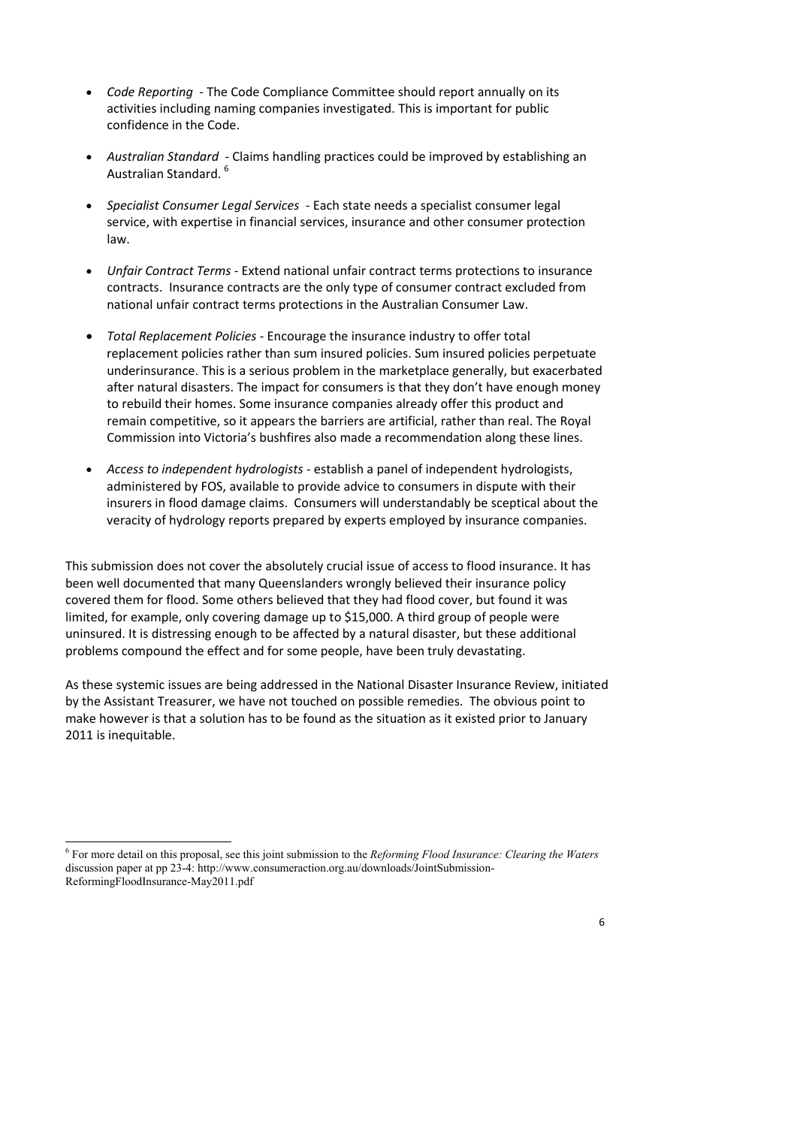- *Code Reporting* ‐ The Code Compliance Committee should report annually on its activities including naming companies investigated. This is important for public confidence in the Code.
- *Australian Standard* ‐ Claims handling practices could be improved by establishing an Australian Standard. [6](#page-5-0)
- *Specialist Consumer Legal Services* ‐ Each state needs a specialist consumer legal service, with expertise in financial services, insurance and other consumer protection law.
- *Unfair Contract Terms* ‐ Extend national unfair contract terms protections to insurance contracts. Insurance contracts are the only type of consumer contract excluded from national unfair contract terms protections in the Australian Consumer Law.
- *Total Replacement Policies* ‐ Encourage the insurance industry to offer total replacement policies rather than sum insured policies. Sum insured policies perpetuate underinsurance. This is a serious problem in the marketplace generally, but exacerbated after natural disasters. The impact for consumers is that they don't have enough money to rebuild their homes. Some insurance companies already offer this product and remain competitive, so it appears the barriers are artificial, rather than real. The Royal Commission into Victoria's bushfires also made a recommendation along these lines.
- *Access to independent hydrologists* ‐ establish a panel of independent hydrologists, administered by FOS, available to provide advice to consumers in dispute with their insurers in flood damage claims. Consumers will understandably be sceptical about the veracity of hydrology reports prepared by experts employed by insurance companies.

This submission does not cover the absolutely crucial issue of access to flood insurance. It has been well documented that many Queenslanders wrongly believed their insurance policy covered them for flood. Some others believed that they had flood cover, but found it was limited, for example, only covering damage up to \$15,000. A third group of people were uninsured. It is distressing enough to be affected by a natural disaster, but these additional problems compound the effect and for some people, have been truly devastating.

As these systemic issues are being addressed in the National Disaster Insurance Review, initiated by the Assistant Treasurer, we have not touched on possible remedies. The obvious point to make however is that a solution has to be found as the situation as it existed prior to January 2011 is inequitable.

-

<span id="page-5-0"></span><sup>6</sup> For more detail on this proposal, see this joint submission to the *Reforming Flood Insurance: Clearing the Waters* discussion paper at pp 23-4: http://www.consumeraction.org.au/downloads/JointSubmission-ReformingFloodInsurance-May2011.pdf